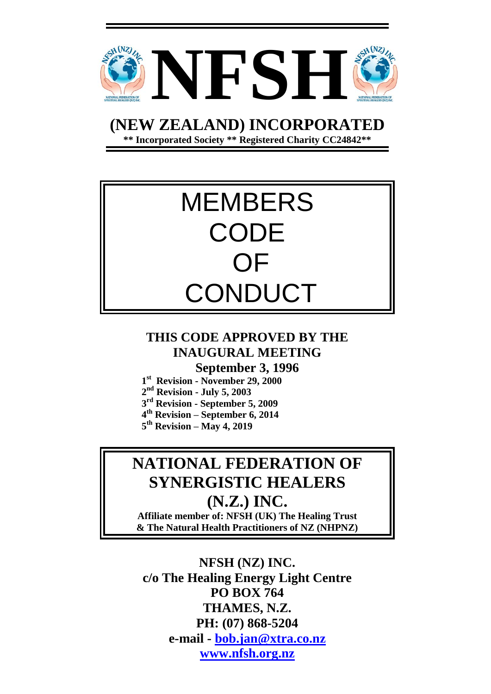

**(NEW ZEALAND) INCORPORATED**

**\*\* Incorporated Society \*\* Registered Charity CC24842\*\***



## **THIS CODE APPROVED BY THE INAUGURAL MEETING September 3, 1996**

- **1 st Revision - November 29, 2000**
- **2 nd Revision - July 5, 2003**
- **3 rd Revision - September 5, 2009**
- **4 th Revision – September 6, 2014**
- **5 th Revision – May 4, 2019**

# **NATIONAL FEDERATION OF SYNERGISTIC HEALERS (N.Z.) INC.**

**Affiliate member of: NFSH (UK) The Healing Trust & The Natural Health Practitioners of NZ (NHPNZ)**

**NFSH (NZ) INC. c/o The Healing Energy Light Centre PO BOX 764 THAMES, N.Z. PH: (07) 868-5204 e-mail - [bob.jan@xtra.co.nz](mailto:bob.jan@xtra.co.nz) [www.nfsh.org.nz](http://www.nfsh.org.nz/)**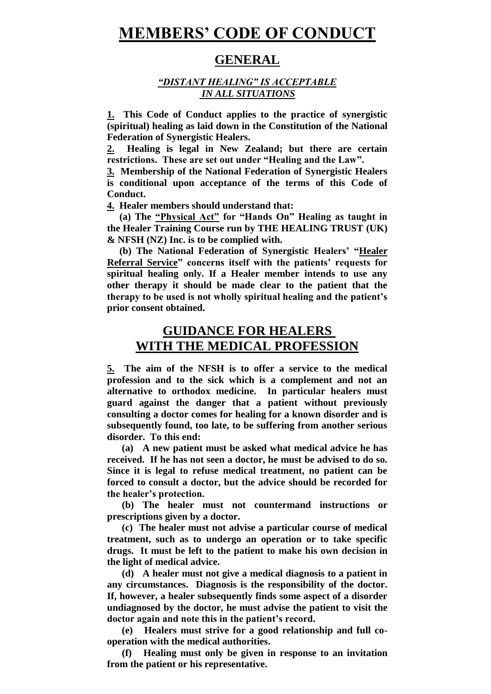# **MEMBERS' CODE OF CONDUCT**

#### **GENERAL**

#### *"DISTANT HEALING" IS ACCEPTABLE IN ALL SITUATIONS*

**1. This Code of Conduct applies to the practice of synergistic (spiritual) healing as laid down in the Constitution of the National Federation of Synergistic Healers.**

**2. Healing is legal in New Zealand; but there are certain restrictions. These are set out under "Healing and the Law".**

**3. Membership of the National Federation of Synergistic Healers is conditional upon acceptance of the terms of this Code of Conduct.**

**4. Healer members should understand that:** 

 **(a) The "Physical Act" for "Hands On" Healing as taught in the Healer Training Course run by THE HEALING TRUST (UK) & NFSH (NZ) Inc. is to be complied with.**

 **(b) The National Federation of Synergistic Healers' "Healer Referral Service" concerns itself with the patients' requests for spiritual healing only. If a Healer member intends to use any other therapy it should be made clear to the patient that the therapy to be used is not wholly spiritual healing and the patient's prior consent obtained.**

## **GUIDANCE FOR HEALERS WITH THE MEDICAL PROFESSION**

**5. The aim of the NFSH is to offer a service to the medical profession and to the sick which is a complement and not an alternative to orthodox medicine. In particular healers must guard against the danger that a patient without previously consulting a doctor comes for healing for a known disorder and is subsequently found, too late, to be suffering from another serious disorder. To this end:**

 **(a) A new patient must be asked what medical advice he has received. If he has not seen a doctor, he must be advised to do so. Since it is legal to refuse medical treatment, no patient can be forced to consult a doctor, but the advice should be recorded for the healer's protection.**

 **(b) The healer must not countermand instructions or prescriptions given by a doctor.**

 **(c) The healer must not advise a particular course of medical treatment, such as to undergo an operation or to take specific drugs. It must be left to the patient to make his own decision in the light of medical advice.**

 **(d) A healer must not give a medical diagnosis to a patient in any circumstances. Diagnosis is the responsibility of the doctor. If, however, a healer subsequently finds some aspect of a disorder undiagnosed by the doctor, he must advise the patient to visit the doctor again and note this in the patient's record.**

 **(e) Healers must strive for a good relationship and full cooperation with the medical authorities.**

 **(f) Healing must only be given in response to an invitation from the patient or his representative.**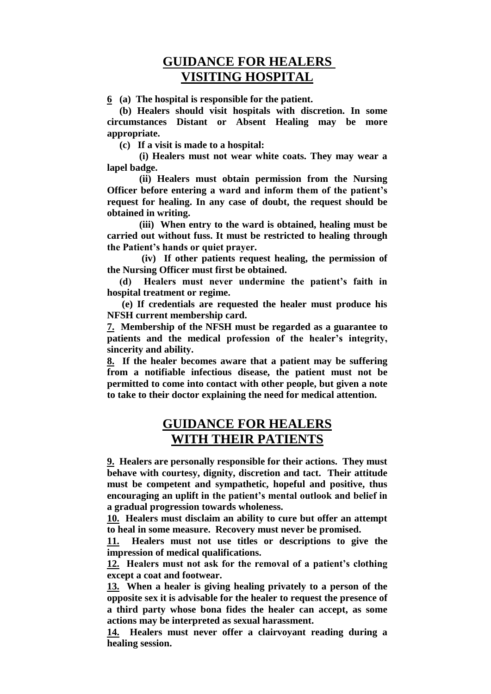## **GUIDANCE FOR HEALERS VISITING HOSPITAL**

**6 (a) The hospital is responsible for the patient.**

 **(b) Healers should visit hospitals with discretion. In some circumstances Distant or Absent Healing may be more appropriate.**

 **(c) If a visit is made to a hospital:**

 **(i) Healers must not wear white coats. They may wear a lapel badge.**

 **(ii) Healers must obtain permission from the Nursing Officer before entering a ward and inform them of the patient's request for healing. In any case of doubt, the request should be obtained in writing.**

 **(iii) When entry to the ward is obtained, healing must be carried out without fuss. It must be restricted to healing through the Patient's hands or quiet prayer.**

 **(iv) If other patients request healing, the permission of the Nursing Officer must first be obtained.**

 **(d) Healers must never undermine the patient's faith in hospital treatment or regime.**

 **(e) If credentials are requested the healer must produce his NFSH current membership card.**

**7. Membership of the NFSH must be regarded as a guarantee to patients and the medical profession of the healer's integrity, sincerity and ability.**

**8. If the healer becomes aware that a patient may be suffering from a notifiable infectious disease, the patient must not be permitted to come into contact with other people, but given a note to take to their doctor explaining the need for medical attention.**

## **GUIDANCE FOR HEALERS WITH THEIR PATIENTS**

**9. Healers are personally responsible for their actions. They must behave with courtesy, dignity, discretion and tact. Their attitude must be competent and sympathetic, hopeful and positive, thus encouraging an uplift in the patient's mental outlook and belief in a gradual progression towards wholeness.**

**10. Healers must disclaim an ability to cure but offer an attempt to heal in some measure. Recovery must never be promised.**

**11. Healers must not use titles or descriptions to give the impression of medical qualifications.**

**12. Healers must not ask for the removal of a patient's clothing except a coat and footwear.**

**13. When a healer is giving healing privately to a person of the opposite sex it is advisable for the healer to request the presence of a third party whose bona fides the healer can accept, as some actions may be interpreted as sexual harassment.**

**14. Healers must never offer a clairvoyant reading during a healing session.**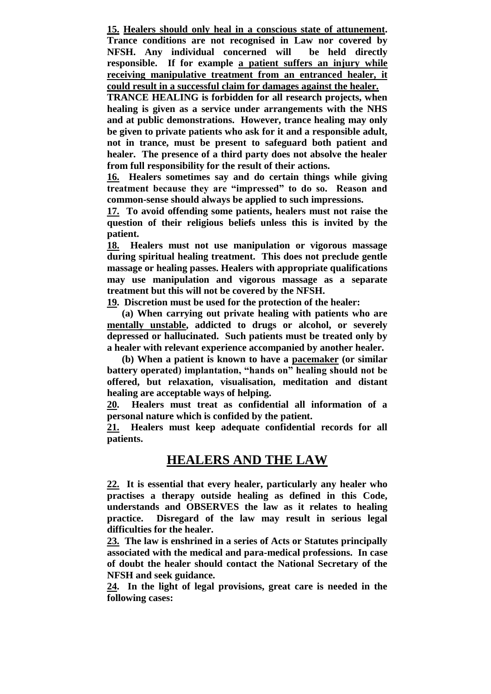**15. Healers should only heal in a conscious state of attunement. Trance conditions are not recognised in Law nor covered by NFSH. Any individual concerned will be held directly responsible. If for example a patient suffers an injury while receiving manipulative treatment from an entranced healer, it could result in a successful claim for damages against the healer.**

**TRANCE HEALING is forbidden for all research projects, when healing is given as a service under arrangements with the NHS and at public demonstrations. However, trance healing may only be given to private patients who ask for it and a responsible adult, not in trance, must be present to safeguard both patient and healer. The presence of a third party does not absolve the healer from full responsibility for the result of their actions.**

**16. Healers sometimes say and do certain things while giving treatment because they are "impressed" to do so. Reason and common-sense should always be applied to such impressions.** 

**17. To avoid offending some patients, healers must not raise the question of their religious beliefs unless this is invited by the patient.**

**18. Healers must not use manipulation or vigorous massage during spiritual healing treatment. This does not preclude gentle massage or healing passes. Healers with appropriate qualifications may use manipulation and vigorous massage as a separate treatment but this will not be covered by the NFSH.**

**19. Discretion must be used for the protection of the healer:** 

**(a) When carrying out private healing with patients who are mentally unstable, addicted to drugs or alcohol, or severely depressed or hallucinated. Such patients must be treated only by a healer with relevant experience accompanied by another healer.**

**(b) When a patient is known to have a pacemaker (or similar battery operated) implantation, "hands on" healing should not be offered, but relaxation, visualisation, meditation and distant healing are acceptable ways of helping.**

**20. Healers must treat as confidential all information of a personal nature which is confided by the patient.**

**21. Healers must keep adequate confidential records for all patients.**

## **HEALERS AND THE LAW**

**22. It is essential that every healer, particularly any healer who practises a therapy outside healing as defined in this Code, understands and OBSERVES the law as it relates to healing practice. Disregard of the law may result in serious legal difficulties for the healer.**

**23. The law is enshrined in a series of Acts or Statutes principally associated with the medical and para-medical professions. In case of doubt the healer should contact the National Secretary of the NFSH and seek guidance.**

**24. In the light of legal provisions, great care is needed in the following cases:**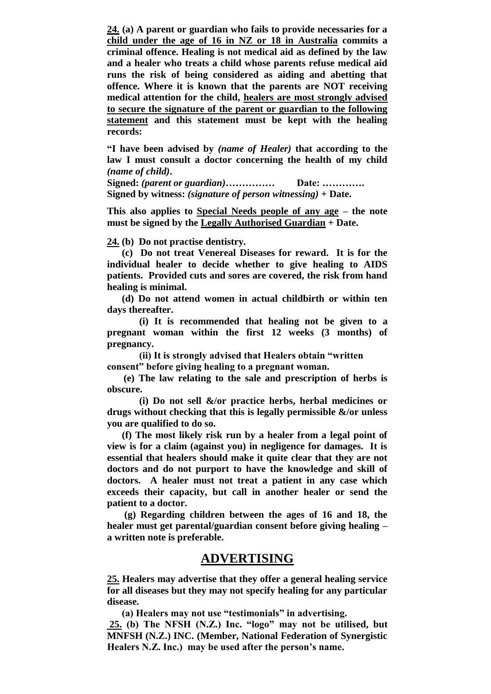**24. (a) A parent or guardian who fails to provide necessaries for a child under the age of 16 in NZ or 18 in Australia commits a criminal offence. Healing is not medical aid as defined by the law and a healer who treats a child whose parents refuse medical aid runs the risk of being considered as aiding and abetting that offence. Where it is known that the parents are NOT receiving medical attention for the child, healers are most strongly advised to secure the signature of the parent or guardian to the following statement and this statement must be kept with the healing records:**

**"I have been advised by** *(name of Healer)* **that according to the law I must consult a doctor concerning the health of my child**  *(name of child)***.**

**Signed:** *(parent or guardian)***…………… Date: …………. Signed by witness:** *(signature of person witnessing)* **+ Date.**

**This also applies to Special Needs people of any age – the note must be signed by the Legally Authorised Guardian + Date.**

**24. (b) Do not practise dentistry.**

 **(c) Do not treat Venereal Diseases for reward. It is for the individual healer to decide whether to give healing to AIDS patients. Provided cuts and sores are covered, the risk from hand healing is minimal.**

 **(d) Do not attend women in actual childbirth or within ten days thereafter.**

 **(i) It is recommended that healing not be given to a pregnant woman within the first 12 weeks (3 months) of pregnancy.**

 **(ii) It is strongly advised that Healers obtain "written consent" before giving healing to a pregnant woman.**

 **(e) The law relating to the sale and prescription of herbs is obscure.**

 **(i) Do not sell &/or practice herbs, herbal medicines or drugs without checking that this is legally permissible &/or unless you are qualified to do so.**

 **(f) The most likely risk run by a healer from a legal point of view is for a claim (against you) in negligence for damages. It is essential that healers should make it quite clear that they are not doctors and do not purport to have the knowledge and skill of doctors. A healer must not treat a patient in any case which exceeds their capacity, but call in another healer or send the patient to a doctor.**

 **(g) Regarding children between the ages of 16 and 18, the healer must get parental/guardian consent before giving healing – a written note is preferable.**

#### **ADVERTISING**

**25. Healers may advertise that they offer a general healing service for all diseases but they may not specify healing for any particular disease.**

 **(a) Healers may not use "testimonials" in advertising. 25. (b) The NFSH (N.Z.) Inc. "logo" may not be utilised, but MNFSH (N.Z.) INC. (Member, National Federation of Synergistic Healers N.Z. Inc.) may be used after the person's name.**